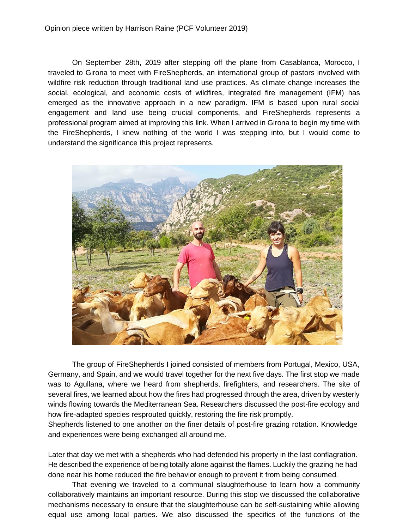On September 28th, 2019 after stepping off the plane from Casablanca, Morocco, I traveled to Girona to meet with FireShepherds, an international group of pastors involved with wildfire risk reduction through traditional land use practices. As climate change increases the social, ecological, and economic costs of wildfires, integrated fire management (IFM) has emerged as the innovative approach in a new paradigm. IFM is based upon rural social engagement and land use being crucial components, and FireShepherds represents a professional program aimed at improving this link. When I arrived in Girona to begin my time with the FireShepherds, I knew nothing of the world I was stepping into, but I would come to understand the significance this project represents.



The group of FireShepherds I joined consisted of members from Portugal, Mexico, USA, Germany, and Spain, and we would travel together for the next five days. The first stop we made was to Agullana, where we heard from shepherds, firefighters, and researchers. The site of several fires, we learned about how the fires had progressed through the area, driven by westerly winds flowing towards the Mediterranean Sea. Researchers discussed the post-fire ecology and how fire-adapted species resprouted quickly, restoring the fire risk promptly.

Shepherds listened to one another on the finer details of post-fire grazing rotation. Knowledge and experiences were being exchanged all around me.

Later that day we met with a shepherds who had defended his property in the last conflagration. He described the experience of being totally alone against the flames. Luckily the grazing he had done near his home reduced the fire behavior enough to prevent it from being consumed.

That evening we traveled to a communal slaughterhouse to learn how a community collaboratively maintains an important resource. During this stop we discussed the collaborative mechanisms necessary to ensure that the slaughterhouse can be self-sustaining while allowing equal use among local parties. We also discussed the specifics of the functions of the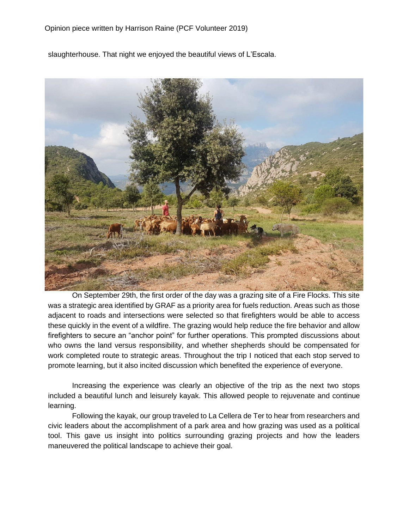slaughterhouse. That night we enjoyed the beautiful views of L'Escala.



On September 29th, the first order of the day was a grazing site of a Fire Flocks. This site was a strategic area identified by GRAF as a priority area for fuels reduction. Areas such as those adjacent to roads and intersections were selected so that firefighters would be able to access these quickly in the event of a wildfire. The grazing would help reduce the fire behavior and allow firefighters to secure an "anchor point" for further operations. This prompted discussions about who owns the land versus responsibility, and whether shepherds should be compensated for work completed route to strategic areas. Throughout the trip I noticed that each stop served to promote learning, but it also incited discussion which benefited the experience of everyone.

Increasing the experience was clearly an objective of the trip as the next two stops included a beautiful lunch and leisurely kayak. This allowed people to rejuvenate and continue learning.

Following the kayak, our group traveled to La Cellera de Ter to hear from researchers and civic leaders about the accomplishment of a park area and how grazing was used as a political tool. This gave us insight into politics surrounding grazing projects and how the leaders maneuvered the political landscape to achieve their goal.